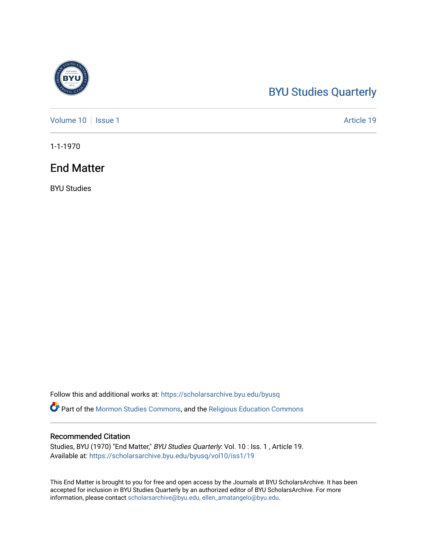## [BYU Studies Quarterly](https://scholarsarchive.byu.edu/byusq)

[Volume 10](https://scholarsarchive.byu.edu/byusq/vol10) | [Issue 1](https://scholarsarchive.byu.edu/byusq/vol10/iss1) Article 19

1-1-1970

### End Matter

BYU Studies

Follow this and additional works at: [https://scholarsarchive.byu.edu/byusq](https://scholarsarchive.byu.edu/byusq?utm_source=scholarsarchive.byu.edu%2Fbyusq%2Fvol10%2Fiss1%2F19&utm_medium=PDF&utm_campaign=PDFCoverPages) 

Part of the [Mormon Studies Commons](http://network.bepress.com/hgg/discipline/1360?utm_source=scholarsarchive.byu.edu%2Fbyusq%2Fvol10%2Fiss1%2F19&utm_medium=PDF&utm_campaign=PDFCoverPages), and the [Religious Education Commons](http://network.bepress.com/hgg/discipline/1414?utm_source=scholarsarchive.byu.edu%2Fbyusq%2Fvol10%2Fiss1%2F19&utm_medium=PDF&utm_campaign=PDFCoverPages) 

#### Recommended Citation

Studies, BYU (1970) "End Matter," BYU Studies Quarterly: Vol. 10 : Iss. 1, Article 19. Available at: [https://scholarsarchive.byu.edu/byusq/vol10/iss1/19](https://scholarsarchive.byu.edu/byusq/vol10/iss1/19?utm_source=scholarsarchive.byu.edu%2Fbyusq%2Fvol10%2Fiss1%2F19&utm_medium=PDF&utm_campaign=PDFCoverPages) 

This End Matter is brought to you for free and open access by the Journals at BYU ScholarsArchive. It has been accepted for inclusion in BYU Studies Quarterly by an authorized editor of BYU ScholarsArchive. For more information, please contact [scholarsarchive@byu.edu, ellen\\_amatangelo@byu.edu.](mailto:scholarsarchive@byu.edu,%20ellen_amatangelo@byu.edu)